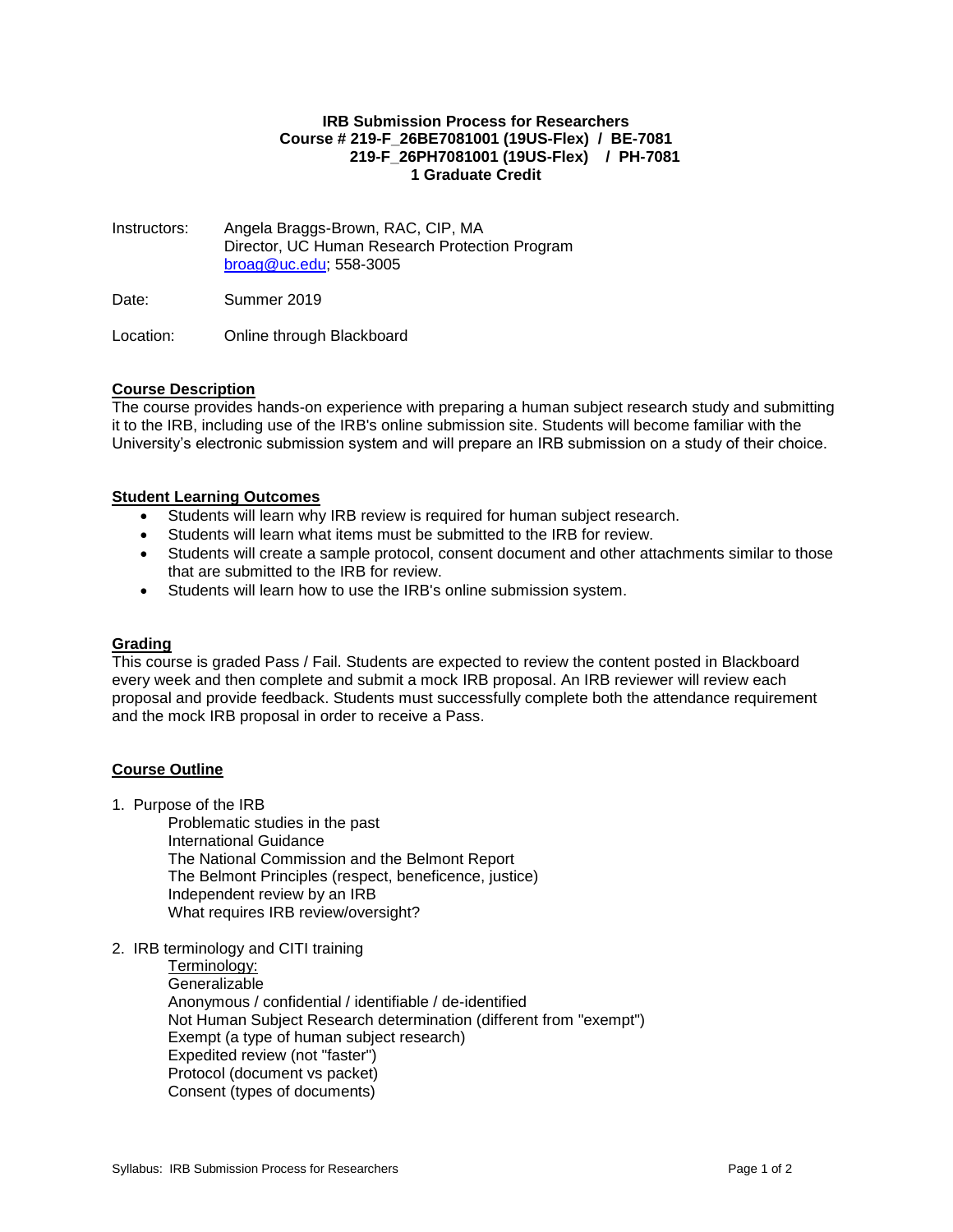#### **IRB Submission Process for Researchers Course # 219-F\_26BE7081001 (19US-Flex) / BE-7081 219-F\_26PH7081001 (19US-Flex) / PH-7081 1 Graduate Credit**

Instructors: Angela Braggs-Brown, RAC, CIP, MA Director, UC Human Research Protection Program [broag@uc.edu;](mailto:broag@uc.edu) 558-3005

Date: Summer 2019

Location: Online through Blackboard

# **Course Description**

The course provides hands-on experience with preparing a human subject research study and submitting it to the IRB, including use of the IRB's online submission site. Students will become familiar with the University's electronic submission system and will prepare an IRB submission on a study of their choice.

### **Student Learning Outcomes**

- Students will learn why IRB review is required for human subject research.
- Students will learn what items must be submitted to the IRB for review.
- Students will create a sample protocol, consent document and other attachments similar to those that are submitted to the IRB for review.
- Students will learn how to use the IRB's online submission system.

#### **Grading**

This course is graded Pass / Fail. Students are expected to review the content posted in Blackboard every week and then complete and submit a mock IRB proposal. An IRB reviewer will review each proposal and provide feedback. Students must successfully complete both the attendance requirement and the mock IRB proposal in order to receive a Pass.

# **Course Outline**

1. Purpose of the IRB

Problematic studies in the past International Guidance The National Commission and the Belmont Report The Belmont Principles (respect, beneficence, justice) Independent review by an IRB What requires IRB review/oversight?

2. IRB terminology and CITI training

Terminology: **Generalizable** Anonymous / confidential / identifiable / de-identified Not Human Subject Research determination (different from "exempt") Exempt (a type of human subject research) Expedited review (not "faster") Protocol (document vs packet) Consent (types of documents)